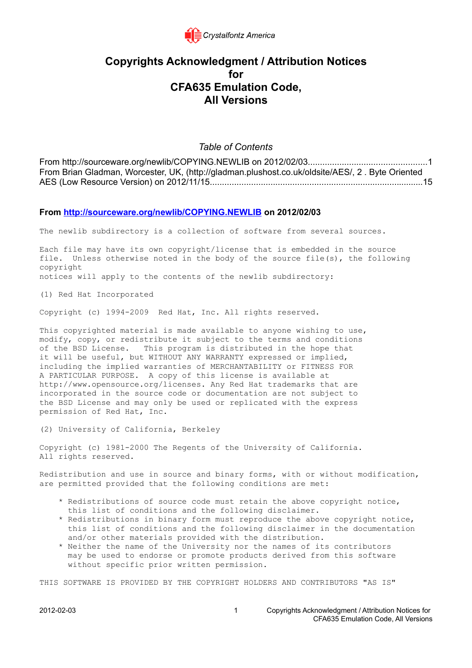

## **Copyrights Acknowledgment / Attribution Notices for CFA635 Emulation Code, All Versions**

## *Table of Contents*

From http://sourceware.org/newlib/COPYING.NEWLIB on 2012/02/03.................................................1 From Brian Gladman, Worcester, UK, (http://gladman.plushost.co.uk/oldsite/AES/, 2 . Byte Oriented [AES \(Low Resource Version\) on 2012/11/15........................................................................................15](#page-14-0)

## **From http://sourceware.org/newlib/COPYING.NEWLIB on 2012/02/03**

The newlib subdirectory is a collection of software from several sources.

Each file may have its own copyright/license that is embedded in the source file. Unless otherwise noted in the body of the source file(s), the following copyright notices will apply to the contents of the newlib subdirectory:

(1) Red Hat Incorporated

Copyright (c) 1994-2009 Red Hat, Inc. All rights reserved.

This copyrighted material is made available to anyone wishing to use, modify, copy, or redistribute it subject to the terms and conditions of the BSD License. This program is distributed in the hope that it will be useful, but WITHOUT ANY WARRANTY expressed or implied, including the implied warranties of MERCHANTABILITY or FITNESS FOR A PARTICULAR PURPOSE. A copy of this license is available at http://www.opensource.org/licenses. Any Red Hat trademarks that are incorporated in the source code or documentation are not subject to the BSD License and may only be used or replicated with the express permission of Red Hat, Inc.

(2) University of California, Berkeley

Copyright (c) 1981-2000 The Regents of the University of California. All rights reserved.

Redistribution and use in source and binary forms, with or without modification, are permitted provided that the following conditions are met:

- \* Redistributions of source code must retain the above copyright notice, this list of conditions and the following disclaimer.
- \* Redistributions in binary form must reproduce the above copyright notice, this list of conditions and the following disclaimer in the documentation and/or other materials provided with the distribution.
- \* Neither the name of the University nor the names of its contributors may be used to endorse or promote products derived from this software without specific prior written permission.

THIS SOFTWARE IS PROVIDED BY THE COPYRIGHT HOLDERS AND CONTRIBUTORS "AS IS"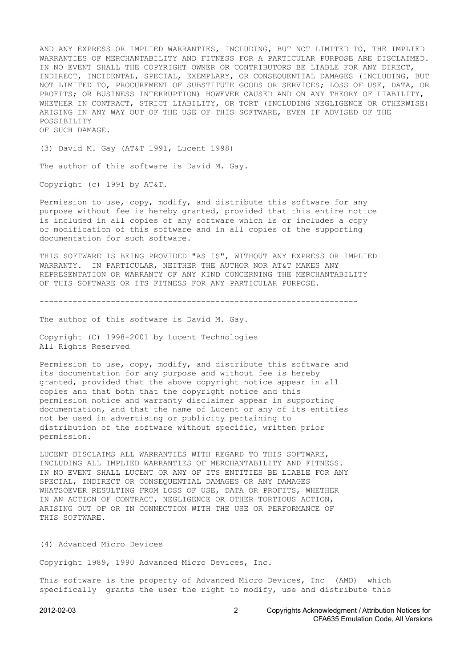AND ANY EXPRESS OR IMPLIED WARRANTIES, INCLUDING, BUT NOT LIMITED TO, THE IMPLIED WARRANTIES OF MERCHANTABILITY AND FITNESS FOR A PARTICULAR PURPOSE ARE DISCLAIMED. IN NO EVENT SHALL THE COPYRIGHT OWNER OR CONTRIBUTORS BE LIABLE FOR ANY DIRECT, INDIRECT, INCIDENTAL, SPECIAL, EXEMPLARY, OR CONSEQUENTIAL DAMAGES (INCLUDING, BUT NOT LIMITED TO, PROCUREMENT OF SUBSTITUTE GOODS OR SERVICES; LOSS OF USE, DATA, OR PROFITS; OR BUSINESS INTERRUPTION) HOWEVER CAUSED AND ON ANY THEORY OF LIABILITY, WHETHER IN CONTRACT, STRICT LIABILITY, OR TORT (INCLUDING NEGLIGENCE OR OTHERWISE) ARISING IN ANY WAY OUT OF THE USE OF THIS SOFTWARE, EVEN IF ADVISED OF THE POSSIBILITY OF SUCH DAMAGE.

(3) David M. Gay (AT&T 1991, Lucent 1998)

The author of this software is David M. Gay.

Copyright (c) 1991 by AT&T.

Permission to use, copy, modify, and distribute this software for any purpose without fee is hereby granted, provided that this entire notice is included in all copies of any software which is or includes a copy or modification of this software and in all copies of the supporting documentation for such software.

THIS SOFTWARE IS BEING PROVIDED "AS IS", WITHOUT ANY EXPRESS OR IMPLIED WARRANTY. IN PARTICULAR, NEITHER THE AUTHOR NOR AT&T MAKES ANY REPRESENTATION OR WARRANTY OF ANY KIND CONCERNING THE MERCHANTABILITY OF THIS SOFTWARE OR ITS FITNESS FOR ANY PARTICULAR PURPOSE.

-------------------------------------------------------------------

The author of this software is David M. Gay.

Copyright (C) 1998-2001 by Lucent Technologies All Rights Reserved

Permission to use, copy, modify, and distribute this software and its documentation for any purpose and without fee is hereby granted, provided that the above copyright notice appear in all copies and that both that the copyright notice and this permission notice and warranty disclaimer appear in supporting documentation, and that the name of Lucent or any of its entities not be used in advertising or publicity pertaining to distribution of the software without specific, written prior permission.

LUCENT DISCLAIMS ALL WARRANTIES WITH REGARD TO THIS SOFTWARE, INCLUDING ALL IMPLIED WARRANTIES OF MERCHANTABILITY AND FITNESS. IN NO EVENT SHALL LUCENT OR ANY OF ITS ENTITIES BE LIABLE FOR ANY SPECIAL, INDIRECT OR CONSEQUENTIAL DAMAGES OR ANY DAMAGES WHATSOEVER RESULTING FROM LOSS OF USE, DATA OR PROFITS, WHETHER IN AN ACTION OF CONTRACT, NEGLIGENCE OR OTHER TORTIOUS ACTION, ARISING OUT OF OR IN CONNECTION WITH THE USE OR PERFORMANCE OF THIS SOFTWARE.

(4) Advanced Micro Devices

Copyright 1989, 1990 Advanced Micro Devices, Inc.

This software is the property of Advanced Micro Devices, Inc (AMD) which specifically grants the user the right to modify, use and distribute this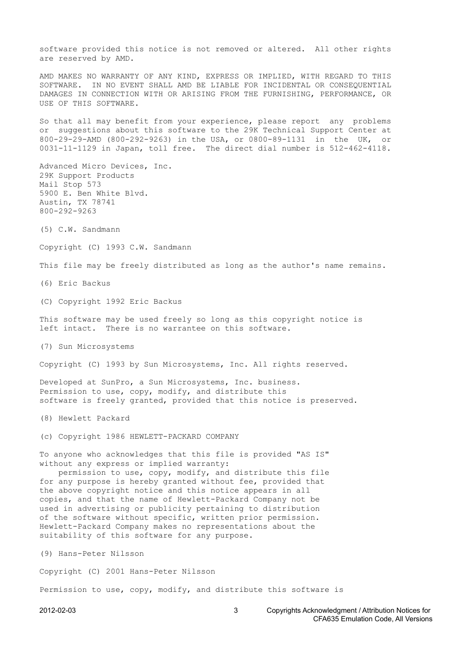software provided this notice is not removed or altered. All other rights are reserved by AMD.

AMD MAKES NO WARRANTY OF ANY KIND, EXPRESS OR IMPLIED, WITH REGARD TO THIS SOFTWARE. IN NO EVENT SHALL AMD BE LIABLE FOR INCIDENTAL OR CONSEQUENTIAL DAMAGES IN CONNECTION WITH OR ARISING FROM THE FURNISHING, PERFORMANCE, OR USE OF THIS SOFTWARE.

So that all may benefit from your experience, please report any problems or suggestions about this software to the 29K Technical Support Center at 800-29-29-AMD (800-292-9263) in the USA, or 0800-89-1131 in the UK, or 0031-11-1129 in Japan, toll free. The direct dial number is 512-462-4118.

Advanced Micro Devices, Inc. 29K Support Products Mail Stop 573 5900 E. Ben White Blvd. Austin, TX 78741 800-292-9263

(5) C.W. Sandmann

Copyright (C) 1993 C.W. Sandmann

This file may be freely distributed as long as the author's name remains.

(6) Eric Backus

(C) Copyright 1992 Eric Backus

This software may be used freely so long as this copyright notice is left intact. There is no warrantee on this software.

(7) Sun Microsystems

Copyright (C) 1993 by Sun Microsystems, Inc. All rights reserved.

Developed at SunPro, a Sun Microsystems, Inc. business. Permission to use, copy, modify, and distribute this software is freely granted, provided that this notice is preserved.

(8) Hewlett Packard

(c) Copyright 1986 HEWLETT-PACKARD COMPANY

To anyone who acknowledges that this file is provided "AS IS" without any express or implied warranty:

 permission to use, copy, modify, and distribute this file for any purpose is hereby granted without fee, provided that the above copyright notice and this notice appears in all copies, and that the name of Hewlett-Packard Company not be used in advertising or publicity pertaining to distribution of the software without specific, written prior permission. Hewlett-Packard Company makes no representations about the suitability of this software for any purpose.

(9) Hans-Peter Nilsson

Copyright (C) 2001 Hans-Peter Nilsson

Permission to use, copy, modify, and distribute this software is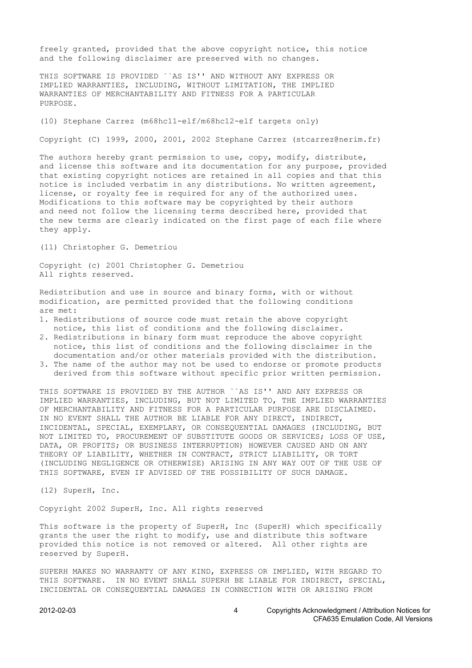freely granted, provided that the above copyright notice, this notice and the following disclaimer are preserved with no changes.

THIS SOFTWARE IS PROVIDED ``AS IS'' AND WITHOUT ANY EXPRESS OR IMPLIED WARRANTIES, INCLUDING, WITHOUT LIMITATION, THE IMPLIED WARRANTIES OF MERCHANTABILITY AND FITNESS FOR A PARTICULAR PURPOSE.

(10) Stephane Carrez (m68hc11-elf/m68hc12-elf targets only)

Copyright (C) 1999, 2000, 2001, 2002 Stephane Carrez (stcarrez@nerim.fr)

The authors hereby grant permission to use, copy, modify, distribute, and license this software and its documentation for any purpose, provided that existing copyright notices are retained in all copies and that this notice is included verbatim in any distributions. No written agreement, license, or royalty fee is required for any of the authorized uses. Modifications to this software may be copyrighted by their authors and need not follow the licensing terms described here, provided that the new terms are clearly indicated on the first page of each file where they apply.

(11) Christopher G. Demetriou

Copyright (c) 2001 Christopher G. Demetriou All rights reserved.

Redistribution and use in source and binary forms, with or without modification, are permitted provided that the following conditions are met:

- 1. Redistributions of source code must retain the above copyright notice, this list of conditions and the following disclaimer.
- 2. Redistributions in binary form must reproduce the above copyright notice, this list of conditions and the following disclaimer in the documentation and/or other materials provided with the distribution.
- 3. The name of the author may not be used to endorse or promote products derived from this software without specific prior written permission.

THIS SOFTWARE IS PROVIDED BY THE AUTHOR ``AS IS'' AND ANY EXPRESS OR IMPLIED WARRANTIES, INCLUDING, BUT NOT LIMITED TO, THE IMPLIED WARRANTIES OF MERCHANTABILITY AND FITNESS FOR A PARTICULAR PURPOSE ARE DISCLAIMED. IN NO EVENT SHALL THE AUTHOR BE LIABLE FOR ANY DIRECT, INDIRECT, INCIDENTAL, SPECIAL, EXEMPLARY, OR CONSEQUENTIAL DAMAGES (INCLUDING, BUT NOT LIMITED TO, PROCUREMENT OF SUBSTITUTE GOODS OR SERVICES; LOSS OF USE, DATA, OR PROFITS; OR BUSINESS INTERRUPTION) HOWEVER CAUSED AND ON ANY THEORY OF LIABILITY, WHETHER IN CONTRACT, STRICT LIABILITY, OR TORT (INCLUDING NEGLIGENCE OR OTHERWISE) ARISING IN ANY WAY OUT OF THE USE OF THIS SOFTWARE, EVEN IF ADVISED OF THE POSSIBILITY OF SUCH DAMAGE.

(12) SuperH, Inc.

Copyright 2002 SuperH, Inc. All rights reserved

This software is the property of SuperH, Inc (SuperH) which specifically grants the user the right to modify, use and distribute this software provided this notice is not removed or altered. All other rights are reserved by SuperH.

SUPERH MAKES NO WARRANTY OF ANY KIND, EXPRESS OR IMPLIED, WITH REGARD TO THIS SOFTWARE. IN NO EVENT SHALL SUPERH BE LIABLE FOR INDIRECT, SPECIAL, INCIDENTAL OR CONSEQUENTIAL DAMAGES IN CONNECTION WITH OR ARISING FROM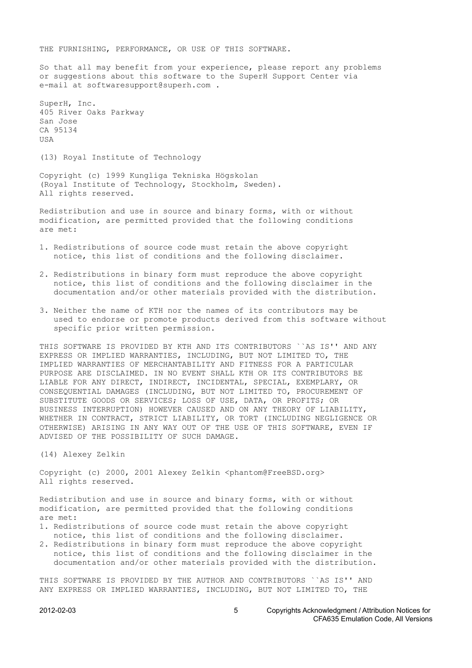THE FURNISHING, PERFORMANCE, OR USE OF THIS SOFTWARE.

So that all may benefit from your experience, please report any problems or suggestions about this software to the SuperH Support Center via e-mail at softwaresupport@superh.com .

SuperH, Inc. 405 River Oaks Parkway San Jose CA 95134 USA

(13) Royal Institute of Technology

Copyright (c) 1999 Kungliga Tekniska Högskolan (Royal Institute of Technology, Stockholm, Sweden). All rights reserved.

Redistribution and use in source and binary forms, with or without modification, are permitted provided that the following conditions are met:

- 1. Redistributions of source code must retain the above copyright notice, this list of conditions and the following disclaimer.
- 2. Redistributions in binary form must reproduce the above copyright notice, this list of conditions and the following disclaimer in the documentation and/or other materials provided with the distribution.
- 3. Neither the name of KTH nor the names of its contributors may be used to endorse or promote products derived from this software without specific prior written permission.

THIS SOFTWARE IS PROVIDED BY KTH AND ITS CONTRIBUTORS ``AS IS'' AND ANY EXPRESS OR IMPLIED WARRANTIES, INCLUDING, BUT NOT LIMITED TO, THE IMPLIED WARRANTIES OF MERCHANTABILITY AND FITNESS FOR A PARTICULAR PURPOSE ARE DISCLAIMED. IN NO EVENT SHALL KTH OR ITS CONTRIBUTORS BE LIABLE FOR ANY DIRECT, INDIRECT, INCIDENTAL, SPECIAL, EXEMPLARY, OR CONSEQUENTIAL DAMAGES (INCLUDING, BUT NOT LIMITED TO, PROCUREMENT OF SUBSTITUTE GOODS OR SERVICES; LOSS OF USE, DATA, OR PROFITS; OR BUSINESS INTERRUPTION) HOWEVER CAUSED AND ON ANY THEORY OF LIABILITY, WHETHER IN CONTRACT, STRICT LIABILITY, OR TORT (INCLUDING NEGLIGENCE OR OTHERWISE) ARISING IN ANY WAY OUT OF THE USE OF THIS SOFTWARE, EVEN IF ADVISED OF THE POSSIBILITY OF SUCH DAMAGE.

(14) Alexey Zelkin

Copyright (c) 2000, 2001 Alexey Zelkin <phantom@FreeBSD.org> All rights reserved.

Redistribution and use in source and binary forms, with or without modification, are permitted provided that the following conditions are met:

- 1. Redistributions of source code must retain the above copyright notice, this list of conditions and the following disclaimer.
- 2. Redistributions in binary form must reproduce the above copyright notice, this list of conditions and the following disclaimer in the documentation and/or other materials provided with the distribution.

THIS SOFTWARE IS PROVIDED BY THE AUTHOR AND CONTRIBUTORS ``AS IS'' AND ANY EXPRESS OR IMPLIED WARRANTIES, INCLUDING, BUT NOT LIMITED TO, THE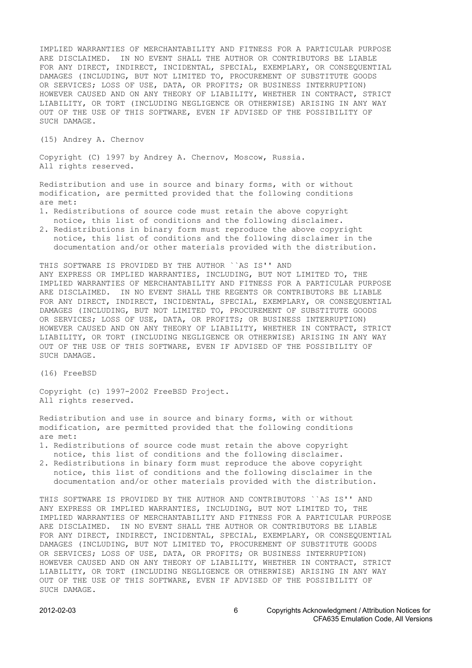IMPLIED WARRANTIES OF MERCHANTABILITY AND FITNESS FOR A PARTICULAR PURPOSE ARE DISCLAIMED. IN NO EVENT SHALL THE AUTHOR OR CONTRIBUTORS BE LIABLE FOR ANY DIRECT, INDIRECT, INCIDENTAL, SPECIAL, EXEMPLARY, OR CONSEQUENTIAL DAMAGES (INCLUDING, BUT NOT LIMITED TO, PROCUREMENT OF SUBSTITUTE GOODS OR SERVICES; LOSS OF USE, DATA, OR PROFITS; OR BUSINESS INTERRUPTION) HOWEVER CAUSED AND ON ANY THEORY OF LIABILITY, WHETHER IN CONTRACT, STRICT LIABILITY, OR TORT (INCLUDING NEGLIGENCE OR OTHERWISE) ARISING IN ANY WAY OUT OF THE USE OF THIS SOFTWARE, EVEN IF ADVISED OF THE POSSIBILITY OF SUCH DAMAGE.

(15) Andrey A. Chernov

Copyright (C) 1997 by Andrey A. Chernov, Moscow, Russia. All rights reserved.

Redistribution and use in source and binary forms, with or without modification, are permitted provided that the following conditions are met:

- 1. Redistributions of source code must retain the above copyright notice, this list of conditions and the following disclaimer.
- 2. Redistributions in binary form must reproduce the above copyright notice, this list of conditions and the following disclaimer in the documentation and/or other materials provided with the distribution.

THIS SOFTWARE IS PROVIDED BY THE AUTHOR ``AS IS'' AND ANY EXPRESS OR IMPLIED WARRANTIES, INCLUDING, BUT NOT LIMITED TO, THE IMPLIED WARRANTIES OF MERCHANTABILITY AND FITNESS FOR A PARTICULAR PURPOSE ARE DISCLAIMED. IN NO EVENT SHALL THE REGENTS OR CONTRIBUTORS BE LIABLE FOR ANY DIRECT, INDIRECT, INCIDENTAL, SPECIAL, EXEMPLARY, OR CONSEQUENTIAL DAMAGES (INCLUDING, BUT NOT LIMITED TO, PROCUREMENT OF SUBSTITUTE GOODS OR SERVICES; LOSS OF USE, DATA, OR PROFITS; OR BUSINESS INTERRUPTION) HOWEVER CAUSED AND ON ANY THEORY OF LIABILITY, WHETHER IN CONTRACT, STRICT LIABILITY, OR TORT (INCLUDING NEGLIGENCE OR OTHERWISE) ARISING IN ANY WAY OUT OF THE USE OF THIS SOFTWARE, EVEN IF ADVISED OF THE POSSIBILITY OF SUCH DAMAGE.

(16) FreeBSD

Copyright (c) 1997-2002 FreeBSD Project. All rights reserved.

Redistribution and use in source and binary forms, with or without modification, are permitted provided that the following conditions are met:

- 1. Redistributions of source code must retain the above copyright notice, this list of conditions and the following disclaimer.
- 2. Redistributions in binary form must reproduce the above copyright notice, this list of conditions and the following disclaimer in the documentation and/or other materials provided with the distribution.

THIS SOFTWARE IS PROVIDED BY THE AUTHOR AND CONTRIBUTORS ``AS IS'' AND ANY EXPRESS OR IMPLIED WARRANTIES, INCLUDING, BUT NOT LIMITED TO, THE IMPLIED WARRANTIES OF MERCHANTABILITY AND FITNESS FOR A PARTICULAR PURPOSE ARE DISCLAIMED. IN NO EVENT SHALL THE AUTHOR OR CONTRIBUTORS BE LIABLE FOR ANY DIRECT, INDIRECT, INCIDENTAL, SPECIAL, EXEMPLARY, OR CONSEQUENTIAL DAMAGES (INCLUDING, BUT NOT LIMITED TO, PROCUREMENT OF SUBSTITUTE GOODS OR SERVICES; LOSS OF USE, DATA, OR PROFITS; OR BUSINESS INTERRUPTION) HOWEVER CAUSED AND ON ANY THEORY OF LIABILITY, WHETHER IN CONTRACT, STRICT LIABILITY, OR TORT (INCLUDING NEGLIGENCE OR OTHERWISE) ARISING IN ANY WAY OUT OF THE USE OF THIS SOFTWARE, EVEN IF ADVISED OF THE POSSIBILITY OF SUCH DAMAGE.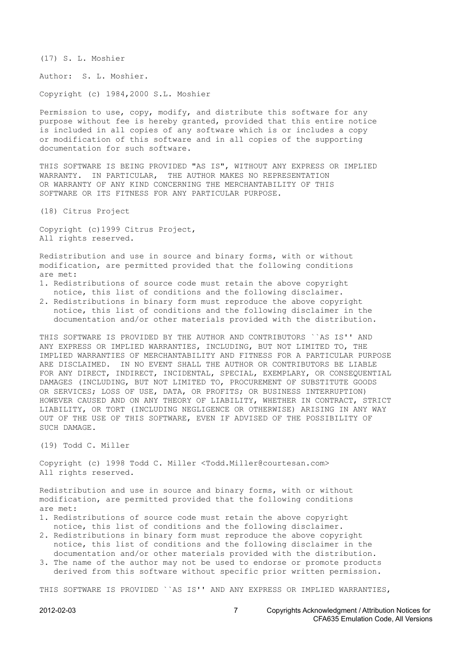(17) S. L. Moshier

Author: S. L. Moshier.

Copyright (c) 1984,2000 S.L. Moshier

Permission to use, copy, modify, and distribute this software for any purpose without fee is hereby granted, provided that this entire notice is included in all copies of any software which is or includes a copy or modification of this software and in all copies of the supporting documentation for such software.

THIS SOFTWARE IS BEING PROVIDED "AS IS", WITHOUT ANY EXPRESS OR IMPLIED WARRANTY. IN PARTICULAR, THE AUTHOR MAKES NO REPRESENTATION OR WARRANTY OF ANY KIND CONCERNING THE MERCHANTABILITY OF THIS SOFTWARE OR ITS FITNESS FOR ANY PARTICULAR PURPOSE.

(18) Citrus Project

Copyright (c)1999 Citrus Project, All rights reserved.

Redistribution and use in source and binary forms, with or without modification, are permitted provided that the following conditions are met:

- 1. Redistributions of source code must retain the above copyright notice, this list of conditions and the following disclaimer.
- 2. Redistributions in binary form must reproduce the above copyright notice, this list of conditions and the following disclaimer in the documentation and/or other materials provided with the distribution.

THIS SOFTWARE IS PROVIDED BY THE AUTHOR AND CONTRIBUTORS ``AS IS'' AND ANY EXPRESS OR IMPLIED WARRANTIES, INCLUDING, BUT NOT LIMITED TO, THE IMPLIED WARRANTIES OF MERCHANTABILITY AND FITNESS FOR A PARTICULAR PURPOSE ARE DISCLAIMED. IN NO EVENT SHALL THE AUTHOR OR CONTRIBUTORS BE LIABLE FOR ANY DIRECT, INDIRECT, INCIDENTAL, SPECIAL, EXEMPLARY, OR CONSEQUENTIAL DAMAGES (INCLUDING, BUT NOT LIMITED TO, PROCUREMENT OF SUBSTITUTE GOODS OR SERVICES; LOSS OF USE, DATA, OR PROFITS; OR BUSINESS INTERRUPTION) HOWEVER CAUSED AND ON ANY THEORY OF LIABILITY, WHETHER IN CONTRACT, STRICT LIABILITY, OR TORT (INCLUDING NEGLIGENCE OR OTHERWISE) ARISING IN ANY WAY OUT OF THE USE OF THIS SOFTWARE, EVEN IF ADVISED OF THE POSSIBILITY OF SUCH DAMAGE.

(19) Todd C. Miller

Copyright (c) 1998 Todd C. Miller <Todd.Miller@courtesan.com> All rights reserved.

Redistribution and use in source and binary forms, with or without modification, are permitted provided that the following conditions are met:

- 1. Redistributions of source code must retain the above copyright notice, this list of conditions and the following disclaimer.
- 2. Redistributions in binary form must reproduce the above copyright notice, this list of conditions and the following disclaimer in the documentation and/or other materials provided with the distribution.
- 3. The name of the author may not be used to endorse or promote products derived from this software without specific prior written permission.

THIS SOFTWARE IS PROVIDED ``AS IS'' AND ANY EXPRESS OR IMPLIED WARRANTIES,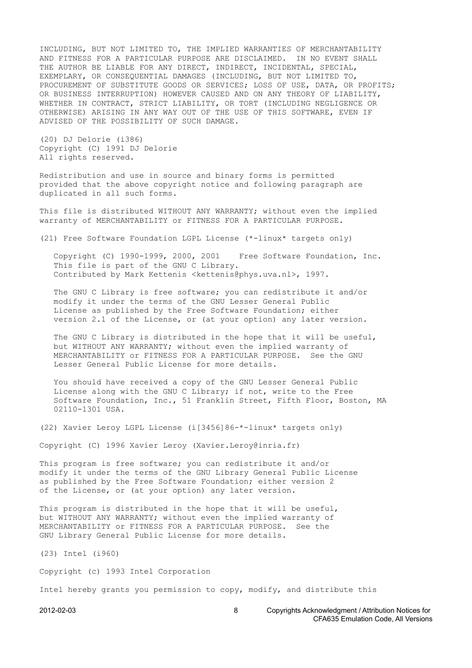INCLUDING, BUT NOT LIMITED TO, THE IMPLIED WARRANTIES OF MERCHANTABILITY AND FITNESS FOR A PARTICULAR PURPOSE ARE DISCLAIMED. IN NO EVENT SHALL THE AUTHOR BE LIABLE FOR ANY DIRECT, INDIRECT, INCIDENTAL, SPECIAL, EXEMPLARY, OR CONSEQUENTIAL DAMAGES (INCLUDING, BUT NOT LIMITED TO, PROCUREMENT OF SUBSTITUTE GOODS OR SERVICES; LOSS OF USE, DATA, OR PROFITS; OR BUSINESS INTERRUPTION) HOWEVER CAUSED AND ON ANY THEORY OF LIABILITY, WHETHER IN CONTRACT, STRICT LIABILITY, OR TORT (INCLUDING NEGLIGENCE OR OTHERWISE) ARISING IN ANY WAY OUT OF THE USE OF THIS SOFTWARE, EVEN IF ADVISED OF THE POSSIBILITY OF SUCH DAMAGE.

(20) DJ Delorie (i386) Copyright (C) 1991 DJ Delorie All rights reserved.

Redistribution and use in source and binary forms is permitted provided that the above copyright notice and following paragraph are duplicated in all such forms.

This file is distributed WITHOUT ANY WARRANTY; without even the implied warranty of MERCHANTABILITY or FITNESS FOR A PARTICULAR PURPOSE.

(21) Free Software Foundation LGPL License (\*-linux\* targets only)

 Copyright (C) 1990-1999, 2000, 2001 Free Software Foundation, Inc. This file is part of the GNU C Library. Contributed by Mark Kettenis <kettenis@phys.uva.nl>, 1997.

 The GNU C Library is free software; you can redistribute it and/or modify it under the terms of the GNU Lesser General Public License as published by the Free Software Foundation; either version 2.1 of the License, or (at your option) any later version.

 The GNU C Library is distributed in the hope that it will be useful, but WITHOUT ANY WARRANTY; without even the implied warranty of MERCHANTABILITY or FITNESS FOR A PARTICULAR PURPOSE. See the GNU Lesser General Public License for more details.

 You should have received a copy of the GNU Lesser General Public License along with the GNU C Library; if not, write to the Free Software Foundation, Inc., 51 Franklin Street, Fifth Floor, Boston, MA 02110-1301 USA.

(22) Xavier Leroy LGPL License (i[3456]86-\*-linux\* targets only)

Copyright (C) 1996 Xavier Leroy (Xavier.Leroy@inria.fr)

This program is free software; you can redistribute it and/or modify it under the terms of the GNU Library General Public License as published by the Free Software Foundation; either version 2 of the License, or (at your option) any later version.

This program is distributed in the hope that it will be useful, but WITHOUT ANY WARRANTY; without even the implied warranty of MERCHANTABILITY or FITNESS FOR A PARTICULAR PURPOSE. See the GNU Library General Public License for more details.

(23) Intel (i960)

Copyright (c) 1993 Intel Corporation

Intel hereby grants you permission to copy, modify, and distribute this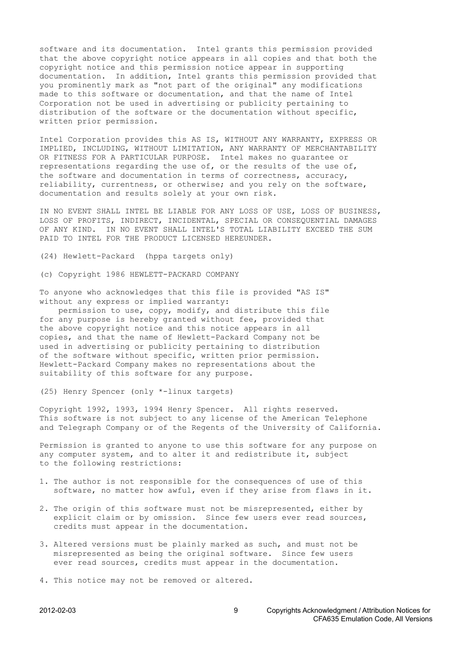software and its documentation. Intel grants this permission provided that the above copyright notice appears in all copies and that both the copyright notice and this permission notice appear in supporting documentation. In addition, Intel grants this permission provided that you prominently mark as "not part of the original" any modifications made to this software or documentation, and that the name of Intel Corporation not be used in advertising or publicity pertaining to distribution of the software or the documentation without specific, written prior permission.

Intel Corporation provides this AS IS, WITHOUT ANY WARRANTY, EXPRESS OR IMPLIED, INCLUDING, WITHOUT LIMITATION, ANY WARRANTY OF MERCHANTABILITY OR FITNESS FOR A PARTICULAR PURPOSE. Intel makes no guarantee or representations regarding the use of, or the results of the use of, the software and documentation in terms of correctness, accuracy, reliability, currentness, or otherwise; and you rely on the software, documentation and results solely at your own risk.

IN NO EVENT SHALL INTEL BE LIABLE FOR ANY LOSS OF USE, LOSS OF BUSINESS, LOSS OF PROFITS, INDIRECT, INCIDENTAL, SPECIAL OR CONSEQUENTIAL DAMAGES OF ANY KIND. IN NO EVENT SHALL INTEL'S TOTAL LIABILITY EXCEED THE SUM PAID TO INTEL FOR THE PRODUCT LICENSED HEREUNDER.

(24) Hewlett-Packard (hppa targets only)

(c) Copyright 1986 HEWLETT-PACKARD COMPANY

To anyone who acknowledges that this file is provided "AS IS" without any express or implied warranty:

 permission to use, copy, modify, and distribute this file for any purpose is hereby granted without fee, provided that the above copyright notice and this notice appears in all copies, and that the name of Hewlett-Packard Company not be used in advertising or publicity pertaining to distribution of the software without specific, written prior permission. Hewlett-Packard Company makes no representations about the suitability of this software for any purpose.

(25) Henry Spencer (only \*-linux targets)

Copyright 1992, 1993, 1994 Henry Spencer. All rights reserved. This software is not subject to any license of the American Telephone and Telegraph Company or of the Regents of the University of California.

Permission is granted to anyone to use this software for any purpose on any computer system, and to alter it and redistribute it, subject to the following restrictions:

- 1. The author is not responsible for the consequences of use of this software, no matter how awful, even if they arise from flaws in it.
- 2. The origin of this software must not be misrepresented, either by explicit claim or by omission. Since few users ever read sources, credits must appear in the documentation.
- 3. Altered versions must be plainly marked as such, and must not be misrepresented as being the original software. Since few users ever read sources, credits must appear in the documentation.
- 4. This notice may not be removed or altered.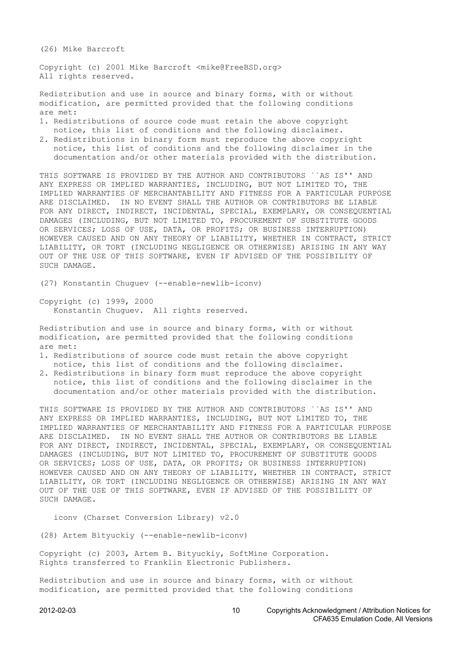(26) Mike Barcroft

Copyright (c) 2001 Mike Barcroft <mike@FreeBSD.org> All rights reserved.

Redistribution and use in source and binary forms, with or without modification, are permitted provided that the following conditions are met:

- 1. Redistributions of source code must retain the above copyright notice, this list of conditions and the following disclaimer.
- 2. Redistributions in binary form must reproduce the above copyright notice, this list of conditions and the following disclaimer in the documentation and/or other materials provided with the distribution.

THIS SOFTWARE IS PROVIDED BY THE AUTHOR AND CONTRIBUTORS ``AS IS'' AND ANY EXPRESS OR IMPLIED WARRANTIES, INCLUDING, BUT NOT LIMITED TO, THE IMPLIED WARRANTIES OF MERCHANTABILITY AND FITNESS FOR A PARTICULAR PURPOSE ARE DISCLAIMED. IN NO EVENT SHALL THE AUTHOR OR CONTRIBUTORS BE LIABLE FOR ANY DIRECT, INDIRECT, INCIDENTAL, SPECIAL, EXEMPLARY, OR CONSEQUENTIAL DAMAGES (INCLUDING, BUT NOT LIMITED TO, PROCUREMENT OF SUBSTITUTE GOODS OR SERVICES; LOSS OF USE, DATA, OR PROFITS; OR BUSINESS INTERRUPTION) HOWEVER CAUSED AND ON ANY THEORY OF LIABILITY, WHETHER IN CONTRACT, STRICT LIABILITY, OR TORT (INCLUDING NEGLIGENCE OR OTHERWISE) ARISING IN ANY WAY OUT OF THE USE OF THIS SOFTWARE, EVEN IF ADVISED OF THE POSSIBILITY OF SUCH DAMAGE.

(27) Konstantin Chuguev (--enable-newlib-iconv)

Copyright (c) 1999, 2000 Konstantin Chuguev. All rights reserved.

Redistribution and use in source and binary forms, with or without modification, are permitted provided that the following conditions are met:

- 1. Redistributions of source code must retain the above copyright notice, this list of conditions and the following disclaimer.
- 2. Redistributions in binary form must reproduce the above copyright notice, this list of conditions and the following disclaimer in the documentation and/or other materials provided with the distribution.

THIS SOFTWARE IS PROVIDED BY THE AUTHOR AND CONTRIBUTORS ``AS IS'' AND ANY EXPRESS OR IMPLIED WARRANTIES, INCLUDING, BUT NOT LIMITED TO, THE IMPLIED WARRANTIES OF MERCHANTABILITY AND FITNESS FOR A PARTICULAR PURPOSE ARE DISCLAIMED. IN NO EVENT SHALL THE AUTHOR OR CONTRIBUTORS BE LIABLE FOR ANY DIRECT, INDIRECT, INCIDENTAL, SPECIAL, EXEMPLARY, OR CONSEQUENTIAL DAMAGES (INCLUDING, BUT NOT LIMITED TO, PROCUREMENT OF SUBSTITUTE GOODS OR SERVICES; LOSS OF USE, DATA, OR PROFITS; OR BUSINESS INTERRUPTION) HOWEVER CAUSED AND ON ANY THEORY OF LIABILITY, WHETHER IN CONTRACT, STRICT LIABILITY, OR TORT (INCLUDING NEGLIGENCE OR OTHERWISE) ARISING IN ANY WAY OUT OF THE USE OF THIS SOFTWARE, EVEN IF ADVISED OF THE POSSIBILITY OF SUCH DAMAGE.

iconv (Charset Conversion Library) v2.0

(28) Artem Bityuckiy (--enable-newlib-iconv)

Copyright (c) 2003, Artem B. Bityuckiy, SoftMine Corporation. Rights transferred to Franklin Electronic Publishers.

Redistribution and use in source and binary forms, with or without modification, are permitted provided that the following conditions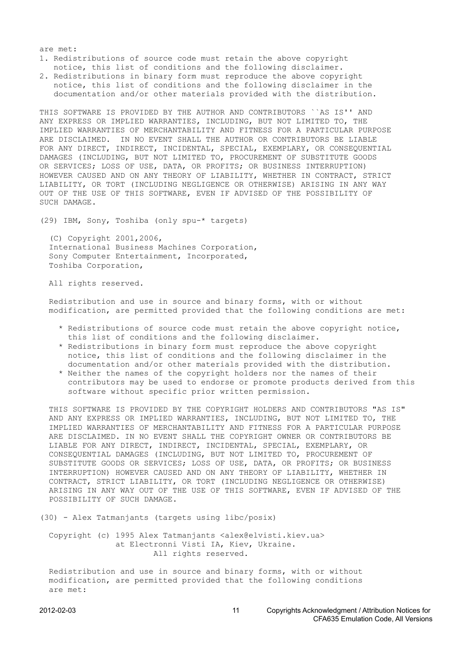are met:

- 1. Redistributions of source code must retain the above copyright notice, this list of conditions and the following disclaimer.
- 2. Redistributions in binary form must reproduce the above copyright notice, this list of conditions and the following disclaimer in the documentation and/or other materials provided with the distribution.

THIS SOFTWARE IS PROVIDED BY THE AUTHOR AND CONTRIBUTORS ``AS IS'' AND ANY EXPRESS OR IMPLIED WARRANTIES, INCLUDING, BUT NOT LIMITED TO, THE IMPLIED WARRANTIES OF MERCHANTABILITY AND FITNESS FOR A PARTICULAR PURPOSE ARE DISCLAIMED. IN NO EVENT SHALL THE AUTHOR OR CONTRIBUTORS BE LIABLE FOR ANY DIRECT, INDIRECT, INCIDENTAL, SPECIAL, EXEMPLARY, OR CONSEQUENTIAL DAMAGES (INCLUDING, BUT NOT LIMITED TO, PROCUREMENT OF SUBSTITUTE GOODS OR SERVICES; LOSS OF USE, DATA, OR PROFITS; OR BUSINESS INTERRUPTION) HOWEVER CAUSED AND ON ANY THEORY OF LIABILITY, WHETHER IN CONTRACT, STRICT LIABILITY, OR TORT (INCLUDING NEGLIGENCE OR OTHERWISE) ARISING IN ANY WAY OUT OF THE USE OF THIS SOFTWARE, EVEN IF ADVISED OF THE POSSIBILITY OF SUCH DAMAGE.

(29) IBM, Sony, Toshiba (only spu-\* targets)

 (C) Copyright 2001,2006, International Business Machines Corporation, Sony Computer Entertainment, Incorporated, Toshiba Corporation,

All rights reserved.

 Redistribution and use in source and binary forms, with or without modification, are permitted provided that the following conditions are met:

- \* Redistributions of source code must retain the above copyright notice, this list of conditions and the following disclaimer.
- \* Redistributions in binary form must reproduce the above copyright notice, this list of conditions and the following disclaimer in the documentation and/or other materials provided with the distribution.
- \* Neither the names of the copyright holders nor the names of their contributors may be used to endorse or promote products derived from this software without specific prior written permission.

 THIS SOFTWARE IS PROVIDED BY THE COPYRIGHT HOLDERS AND CONTRIBUTORS "AS IS" AND ANY EXPRESS OR IMPLIED WARRANTIES, INCLUDING, BUT NOT LIMITED TO, THE IMPLIED WARRANTIES OF MERCHANTABILITY AND FITNESS FOR A PARTICULAR PURPOSE ARE DISCLAIMED. IN NO EVENT SHALL THE COPYRIGHT OWNER OR CONTRIBUTORS BE LIABLE FOR ANY DIRECT, INDIRECT, INCIDENTAL, SPECIAL, EXEMPLARY, OR CONSEQUENTIAL DAMAGES (INCLUDING, BUT NOT LIMITED TO, PROCUREMENT OF SUBSTITUTE GOODS OR SERVICES; LOSS OF USE, DATA, OR PROFITS; OR BUSINESS INTERRUPTION) HOWEVER CAUSED AND ON ANY THEORY OF LIABILITY, WHETHER IN CONTRACT, STRICT LIABILITY, OR TORT (INCLUDING NEGLIGENCE OR OTHERWISE) ARISING IN ANY WAY OUT OF THE USE OF THIS SOFTWARE, EVEN IF ADVISED OF THE POSSIBILITY OF SUCH DAMAGE.

(30) - Alex Tatmanjants (targets using libc/posix)

 Copyright (c) 1995 Alex Tatmanjants <alex@elvisti.kiev.ua> at Electronni Visti IA, Kiev, Ukraine. All rights reserved.

 Redistribution and use in source and binary forms, with or without modification, are permitted provided that the following conditions are met: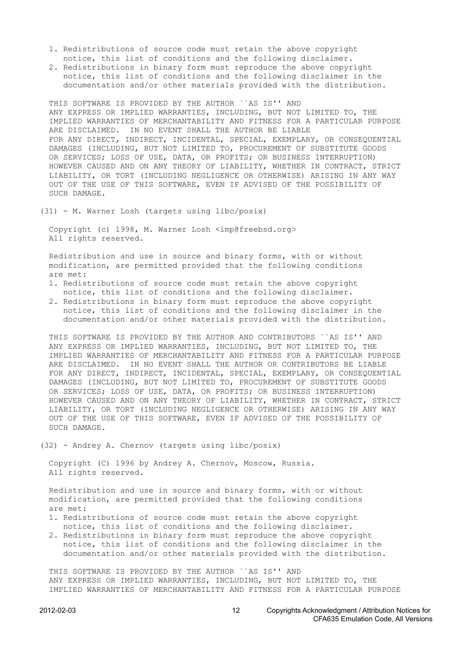- 1. Redistributions of source code must retain the above copyright notice, this list of conditions and the following disclaimer.
- 2. Redistributions in binary form must reproduce the above copyright notice, this list of conditions and the following disclaimer in the documentation and/or other materials provided with the distribution.

 THIS SOFTWARE IS PROVIDED BY THE AUTHOR ``AS IS'' AND ANY EXPRESS OR IMPLIED WARRANTIES, INCLUDING, BUT NOT LIMITED TO, THE IMPLIED WARRANTIES OF MERCHANTABILITY AND FITNESS FOR A PARTICULAR PURPOSE ARE DISCLAIMED. IN NO EVENT SHALL THE AUTHOR BE LIABLE FOR ANY DIRECT, INDIRECT, INCIDENTAL, SPECIAL, EXEMPLARY, OR CONSEQUENTIAL DAMAGES (INCLUDING, BUT NOT LIMITED TO, PROCUREMENT OF SUBSTITUTE GOODS OR SERVICES; LOSS OF USE, DATA, OR PROFITS; OR BUSINESS INTERRUPTION) HOWEVER CAUSED AND ON ANY THEORY OF LIABILITY, WHETHER IN CONTRACT, STRICT LIABILITY, OR TORT (INCLUDING NEGLIGENCE OR OTHERWISE) ARISING IN ANY WAY OUT OF THE USE OF THIS SOFTWARE, EVEN IF ADVISED OF THE POSSIBILITY OF SUCH DAMAGE.

(31) - M. Warner Losh (targets using libc/posix)

 Copyright (c) 1998, M. Warner Losh <imp@freebsd.org> All rights reserved.

 Redistribution and use in source and binary forms, with or without modification, are permitted provided that the following conditions are met:

- 1. Redistributions of source code must retain the above copyright notice, this list of conditions and the following disclaimer.
- 2. Redistributions in binary form must reproduce the above copyright notice, this list of conditions and the following disclaimer in the documentation and/or other materials provided with the distribution.

 THIS SOFTWARE IS PROVIDED BY THE AUTHOR AND CONTRIBUTORS ``AS IS'' AND ANY EXPRESS OR IMPLIED WARRANTIES, INCLUDING, BUT NOT LIMITED TO, THE IMPLIED WARRANTIES OF MERCHANTABILITY AND FITNESS FOR A PARTICULAR PURPOSE ARE DISCLAIMED. IN NO EVENT SHALL THE AUTHOR OR CONTRIBUTORS BE LIABLE FOR ANY DIRECT, INDIRECT, INCIDENTAL, SPECIAL, EXEMPLARY, OR CONSEQUENTIAL DAMAGES (INCLUDING, BUT NOT LIMITED TO, PROCUREMENT OF SUBSTITUTE GOODS OR SERVICES; LOSS OF USE, DATA, OR PROFITS; OR BUSINESS INTERRUPTION) HOWEVER CAUSED AND ON ANY THEORY OF LIABILITY, WHETHER IN CONTRACT, STRICT LIABILITY, OR TORT (INCLUDING NEGLIGENCE OR OTHERWISE) ARISING IN ANY WAY OUT OF THE USE OF THIS SOFTWARE, EVEN IF ADVISED OF THE POSSIBILITY OF SUCH DAMAGE.

(32) - Andrey A. Chernov (targets using libc/posix)

 Copyright (C) 1996 by Andrey A. Chernov, Moscow, Russia. All rights reserved.

 Redistribution and use in source and binary forms, with or without modification, are permitted provided that the following conditions are met:

- 1. Redistributions of source code must retain the above copyright notice, this list of conditions and the following disclaimer.
- 2. Redistributions in binary form must reproduce the above copyright notice, this list of conditions and the following disclaimer in the documentation and/or other materials provided with the distribution.

 THIS SOFTWARE IS PROVIDED BY THE AUTHOR ``AS IS'' AND ANY EXPRESS OR IMPLIED WARRANTIES, INCLUDING, BUT NOT LIMITED TO, THE IMPLIED WARRANTIES OF MERCHANTABILITY AND FITNESS FOR A PARTICULAR PURPOSE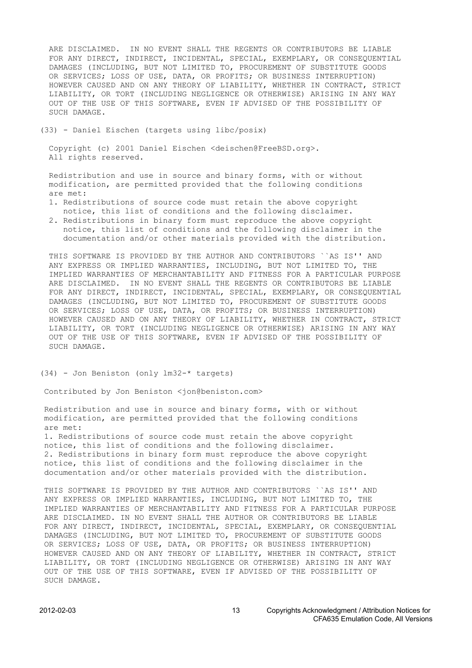ARE DISCLAIMED. IN NO EVENT SHALL THE REGENTS OR CONTRIBUTORS BE LIABLE FOR ANY DIRECT, INDIRECT, INCIDENTAL, SPECIAL, EXEMPLARY, OR CONSEQUENTIAL DAMAGES (INCLUDING, BUT NOT LIMITED TO, PROCUREMENT OF SUBSTITUTE GOODS OR SERVICES; LOSS OF USE, DATA, OR PROFITS; OR BUSINESS INTERRUPTION) HOWEVER CAUSED AND ON ANY THEORY OF LIABILITY, WHETHER IN CONTRACT, STRICT LIABILITY, OR TORT (INCLUDING NEGLIGENCE OR OTHERWISE) ARISING IN ANY WAY OUT OF THE USE OF THIS SOFTWARE, EVEN IF ADVISED OF THE POSSIBILITY OF SUCH DAMAGE.

(33) - Daniel Eischen (targets using libc/posix)

 Copyright (c) 2001 Daniel Eischen <deischen@FreeBSD.org>. All rights reserved.

 Redistribution and use in source and binary forms, with or without modification, are permitted provided that the following conditions are met:

- 1. Redistributions of source code must retain the above copyright notice, this list of conditions and the following disclaimer.
- 2. Redistributions in binary form must reproduce the above copyright notice, this list of conditions and the following disclaimer in the documentation and/or other materials provided with the distribution.

 THIS SOFTWARE IS PROVIDED BY THE AUTHOR AND CONTRIBUTORS ``AS IS'' AND ANY EXPRESS OR IMPLIED WARRANTIES, INCLUDING, BUT NOT LIMITED TO, THE IMPLIED WARRANTIES OF MERCHANTABILITY AND FITNESS FOR A PARTICULAR PURPOSE ARE DISCLAIMED. IN NO EVENT SHALL THE REGENTS OR CONTRIBUTORS BE LIABLE FOR ANY DIRECT, INDIRECT, INCIDENTAL, SPECIAL, EXEMPLARY, OR CONSEQUENTIAL DAMAGES (INCLUDING, BUT NOT LIMITED TO, PROCUREMENT OF SUBSTITUTE GOODS OR SERVICES; LOSS OF USE, DATA, OR PROFITS; OR BUSINESS INTERRUPTION) HOWEVER CAUSED AND ON ANY THEORY OF LIABILITY, WHETHER IN CONTRACT, STRICT LIABILITY, OR TORT (INCLUDING NEGLIGENCE OR OTHERWISE) ARISING IN ANY WAY OUT OF THE USE OF THIS SOFTWARE, EVEN IF ADVISED OF THE POSSIBILITY OF SUCH DAMAGE.

## (34) - Jon Beniston (only lm32-\* targets)

Contributed by Jon Beniston <jon@beniston.com>

 Redistribution and use in source and binary forms, with or without modification, are permitted provided that the following conditions are met:

 1. Redistributions of source code must retain the above copyright notice, this list of conditions and the following disclaimer. 2. Redistributions in binary form must reproduce the above copyright notice, this list of conditions and the following disclaimer in the documentation and/or other materials provided with the distribution.

 THIS SOFTWARE IS PROVIDED BY THE AUTHOR AND CONTRIBUTORS ``AS IS'' AND ANY EXPRESS OR IMPLIED WARRANTIES, INCLUDING, BUT NOT LIMITED TO, THE IMPLIED WARRANTIES OF MERCHANTABILITY AND FITNESS FOR A PARTICULAR PURPOSE ARE DISCLAIMED. IN NO EVENT SHALL THE AUTHOR OR CONTRIBUTORS BE LIABLE FOR ANY DIRECT, INDIRECT, INCIDENTAL, SPECIAL, EXEMPLARY, OR CONSEQUENTIAL DAMAGES (INCLUDING, BUT NOT LIMITED TO, PROCUREMENT OF SUBSTITUTE GOODS OR SERVICES; LOSS OF USE, DATA, OR PROFITS; OR BUSINESS INTERRUPTION) HOWEVER CAUSED AND ON ANY THEORY OF LIABILITY, WHETHER IN CONTRACT, STRICT LIABILITY, OR TORT (INCLUDING NEGLIGENCE OR OTHERWISE) ARISING IN ANY WAY OUT OF THE USE OF THIS SOFTWARE, EVEN IF ADVISED OF THE POSSIBILITY OF SUCH DAMAGE.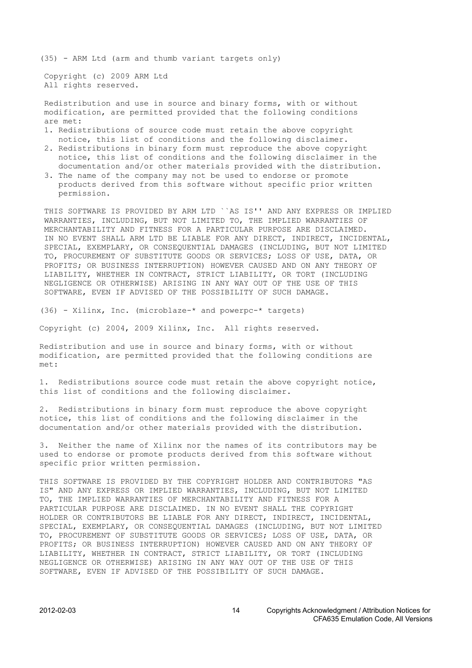(35) - ARM Ltd (arm and thumb variant targets only)

 Copyright (c) 2009 ARM Ltd All rights reserved.

 Redistribution and use in source and binary forms, with or without modification, are permitted provided that the following conditions are met:

- 1. Redistributions of source code must retain the above copyright notice, this list of conditions and the following disclaimer.
- 2. Redistributions in binary form must reproduce the above copyright notice, this list of conditions and the following disclaimer in the documentation and/or other materials provided with the distribution.
- 3. The name of the company may not be used to endorse or promote products derived from this software without specific prior written permission.

 THIS SOFTWARE IS PROVIDED BY ARM LTD ``AS IS'' AND ANY EXPRESS OR IMPLIED WARRANTIES, INCLUDING, BUT NOT LIMITED TO, THE IMPLIED WARRANTIES OF MERCHANTABILITY AND FITNESS FOR A PARTICULAR PURPOSE ARE DISCLAIMED. IN NO EVENT SHALL ARM LTD BE LIABLE FOR ANY DIRECT, INDIRECT, INCIDENTAL, SPECIAL, EXEMPLARY, OR CONSEQUENTIAL DAMAGES (INCLUDING, BUT NOT LIMITED TO, PROCUREMENT OF SUBSTITUTE GOODS OR SERVICES; LOSS OF USE, DATA, OR PROFITS; OR BUSINESS INTERRUPTION) HOWEVER CAUSED AND ON ANY THEORY OF LIABILITY, WHETHER IN CONTRACT, STRICT LIABILITY, OR TORT (INCLUDING NEGLIGENCE OR OTHERWISE) ARISING IN ANY WAY OUT OF THE USE OF THIS SOFTWARE, EVEN IF ADVISED OF THE POSSIBILITY OF SUCH DAMAGE.

(36) - Xilinx, Inc. (microblaze-\* and powerpc-\* targets)

Copyright (c) 2004, 2009 Xilinx, Inc. All rights reserved.

Redistribution and use in source and binary forms, with or without modification, are permitted provided that the following conditions are met:

1. Redistributions source code must retain the above copyright notice, this list of conditions and the following disclaimer.

2. Redistributions in binary form must reproduce the above copyright notice, this list of conditions and the following disclaimer in the documentation and/or other materials provided with the distribution.

3. Neither the name of Xilinx nor the names of its contributors may be used to endorse or promote products derived from this software without specific prior written permission.

THIS SOFTWARE IS PROVIDED BY THE COPYRIGHT HOLDER AND CONTRIBUTORS "AS IS" AND ANY EXPRESS OR IMPLIED WARRANTIES, INCLUDING, BUT NOT LIMITED TO, THE IMPLIED WARRANTIES OF MERCHANTABILITY AND FITNESS FOR A PARTICULAR PURPOSE ARE DISCLAIMED. IN NO EVENT SHALL THE COPYRIGHT HOLDER OR CONTRIBUTORS BE LIABLE FOR ANY DIRECT, INDIRECT, INCIDENTAL, SPECIAL, EXEMPLARY, OR CONSEQUENTIAL DAMAGES (INCLUDING, BUT NOT LIMITED TO, PROCUREMENT OF SUBSTITUTE GOODS OR SERVICES; LOSS OF USE, DATA, OR PROFITS; OR BUSINESS INTERRUPTION) HOWEVER CAUSED AND ON ANY THEORY OF LIABILITY, WHETHER IN CONTRACT, STRICT LIABILITY, OR TORT (INCLUDING NEGLIGENCE OR OTHERWISE) ARISING IN ANY WAY OUT OF THE USE OF THIS SOFTWARE, EVEN IF ADVISED OF THE POSSIBILITY OF SUCH DAMAGE.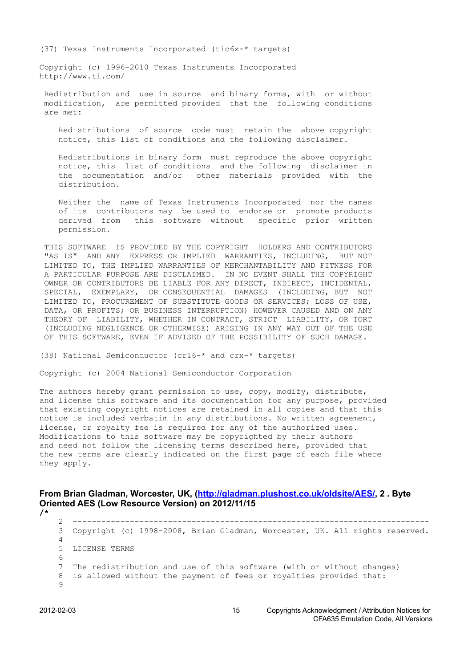<span id="page-14-0"></span>(37) Texas Instruments Incorporated (tic6x-\* targets)

Copyright (c) 1996-2010 Texas Instruments Incorporated http://www.ti.com/

 Redistribution and use in source and binary forms, with or without modification, are permitted provided that the following conditions are met:

 Redistributions of source code must retain the above copyright notice, this list of conditions and the following disclaimer.

 Redistributions in binary form must reproduce the above copyright notice, this list of conditions and the following disclaimer in the documentation and/or other materials provided with the distribution.

 Neither the name of Texas Instruments Incorporated nor the names of its contributors may be used to endorse or promote products derived from this software without specific prior written permission.

 THIS SOFTWARE IS PROVIDED BY THE COPYRIGHT HOLDERS AND CONTRIBUTORS "AS IS" AND ANY EXPRESS OR IMPLIED WARRANTIES, INCLUDING, BUT NOT LIMITED TO, THE IMPLIED WARRANTIES OF MERCHANTABILITY AND FITNESS FOR A PARTICULAR PURPOSE ARE DISCLAIMED. IN NO EVENT SHALL THE COPYRIGHT OWNER OR CONTRIBUTORS BE LIABLE FOR ANY DIRECT, INDIRECT, INCIDENTAL, SPECIAL, EXEMPLARY, OR CONSEQUENTIAL DAMAGES (INCLUDING, BUT NOT LIMITED TO, PROCUREMENT OF SUBSTITUTE GOODS OR SERVICES; LOSS OF USE, DATA, OR PROFITS; OR BUSINESS INTERRUPTION) HOWEVER CAUSED AND ON ANY THEORY OF LIABILITY, WHETHER IN CONTRACT, STRICT LIABILITY, OR TORT (INCLUDING NEGLIGENCE OR OTHERWISE) ARISING IN ANY WAY OUT OF THE USE OF THIS SOFTWARE, EVEN IF ADVISED OF THE POSSIBILITY OF SUCH DAMAGE.

(38) National Semiconductor (cr16-\* and crx-\* targets)

Copyright (c) 2004 National Semiconductor Corporation

The authors hereby grant permission to use, copy, modify, distribute, and license this software and its documentation for any purpose, provided that existing copyright notices are retained in all copies and that this notice is included verbatim in any distributions. No written agreement, license, or royalty fee is required for any of the authorized uses. Modifications to this software may be copyrighted by their authors and need not follow the licensing terms described here, provided that the new terms are clearly indicated on the first page of each file where they apply.

**From Brian Gladman, Worcester, UK, (http://gladman.plushost.co.uk/oldsite/AES/, 2 . Byte Oriented AES (Low Resource Version) on 2012/11/15**

 2 --------------------------------------------------------------------------- 3 Copyright (c) 1998-2008, Brian Gladman, Worcester, UK. All rights reserved. 4 5 LICENSE TERMS 6 7 The redistribution and use of this software (with or without changes) 8 is allowed without the payment of fees or royalties provided that:  $\alpha$ 

**/\***